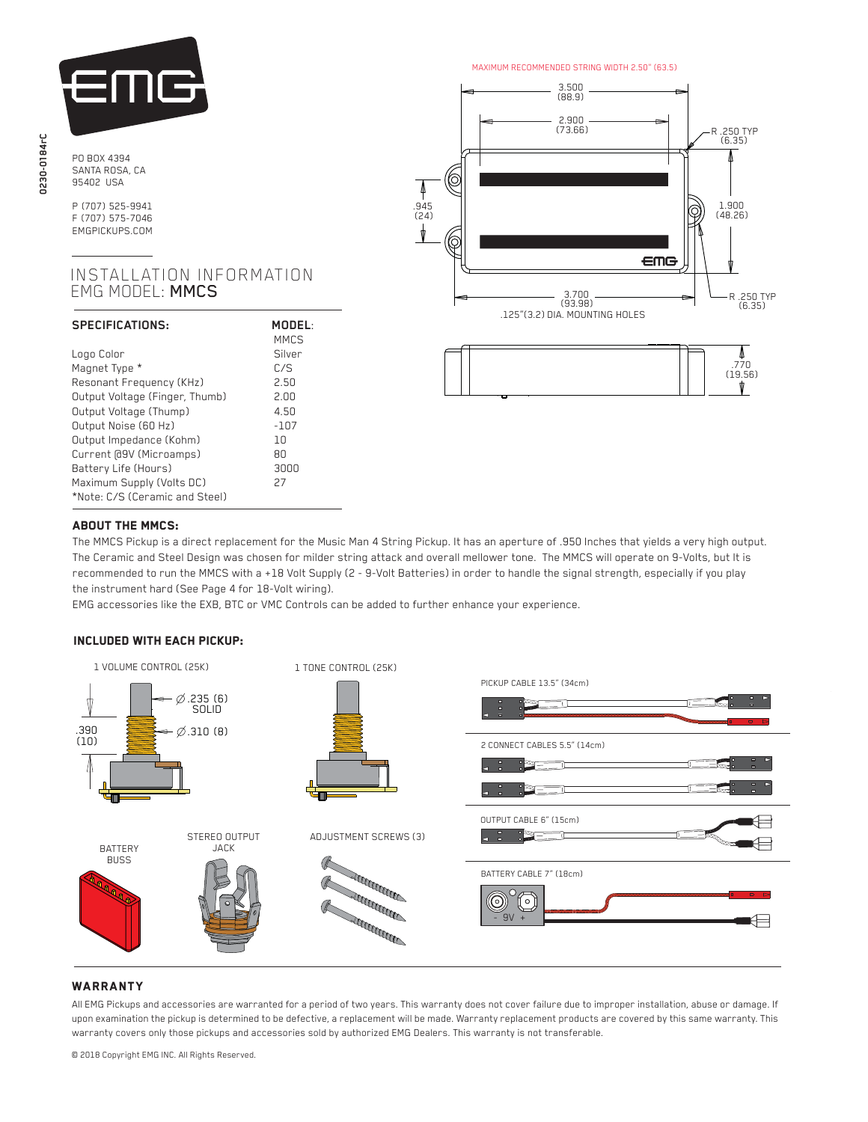

P (707) 525-9941 F (707) 575-7046 EMGPICKUPS.COM

# INSTALLATION INFORMATION EMG MODEL: MMCS

| SPECIFICATIONS:                | MODEL:<br><b>MMCS</b> |
|--------------------------------|-----------------------|
| Logo Color                     | Silver                |
| Magnet Type *                  | C/S                   |
| Resonant Frequency (KHz)       | 2.50                  |
| Output Voltage (Finger, Thumb) | 2.00                  |
| Output Voltage (Thump)         | 4.50                  |
| Output Noise (60 Hz)           | $-107$                |
| Output Impedance (Kohm)        | 1 N                   |
| Current [09V (Microamps)       | 80                    |
| Battery Life (Hours)           | annn                  |
| Maximum Supply (Volts DC)      | 27                    |
| *Note: C/S (Ceramic and Steel) |                       |

MAXIMUM RECOMMENDED STRING WIDTH 2.50" (63.5)





### Ĩ ABOUT THE MMCS:

 The MMCS Pickup is a direct replacement for the Music Man 4 String Pickup. It has an aperture of .950 Inches that yields a very high output. The Ceramic and Steel Design was chosen for milder string attack and overall mellower tone. The MMCS will operate on 9-Volts, but It is recommended to run the MMCS with a +18 Volt Supply (2 - 9-Volt Batteries) in order to handle the signal strength, especially if you play the instrument hard (See Page 4 for 18-Volt wiring).

EMG accessories like the EXB, BTC or VMC Controls can be added to further enhance your experience.

# Included with each pickup:



# **WARRANTY**

All EMG Pickups and accessories are warranted for a period of two years. This warranty does not cover failure due to improper installation, abuse or damage. If upon examination the pickup is determined to be defective, a replacement will be made. Warranty replacement products are covered by this same warranty. This warranty covers only those pickups and accessories sold by authorized EMG Dealers. This warranty is not transferable.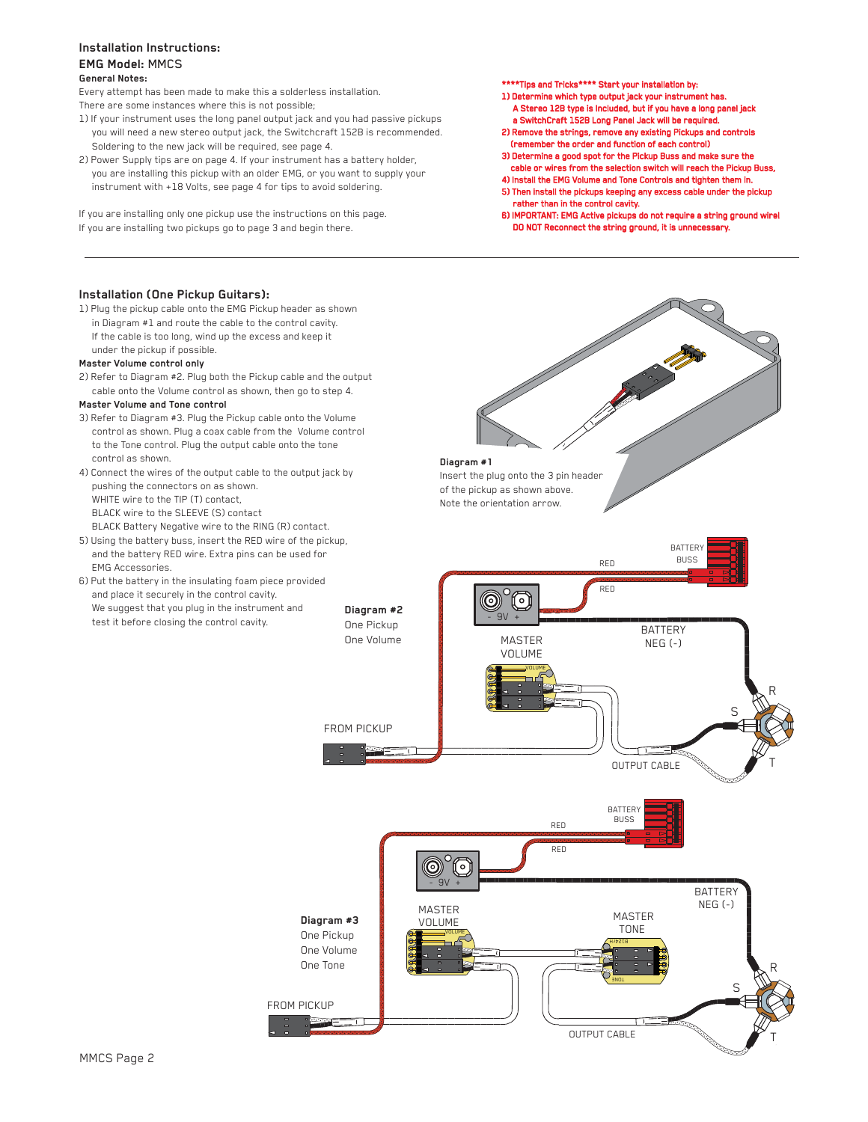## **General Notes: Installation Instructions: EMG Model:** MMCS

Every attempt has been made to make this a solderless installation. There are some instances where this is not possible;

- 1) If your instrument uses the long panel output jack and you had passive pickups you will need a new stereo output jack, the Switchcraft 152B is recommended. Soldering to the new jack will be required, see page 4.
- 2) Power Supply tips are on page 4. If your instrument has a battery holder, you are installing this pickup with an older EMG, or you want to supply your instrument with +18 Volts, see page 4 for tips to avoid soldering.

If you are installing only one pickup use the instructions on this page. If you are installing two pickups go to page 3 and begin there.

# **Installation (One Pickup Guitars):**

1) Plug the pickup cable onto the EMG Pickup header as shown in Diagram #1 and route the cable to the control cavity. If the cable is too long, wind up the excess and keep it under the pickup if possible.

#### **Master Volume control only**

2) Refer to Diagram #2. Plug both the Pickup cable and the output cable onto the Volume control as shown, then go to step 4.

## **Master Volume and Tone control**

- 3) Refer to Diagram #3. Plug the Pickup cable onto the Volume control as shown. Plug a coax cable from the Volume control to the Tone control. Plug the output cable onto the tone control as shown.
- 4) Connect the wires of the output cable to the output jack by pushing the connectors on as shown. WHITE wire to the TIP (T) contact BLACK wire to the SLEEVE (S) contact BLACK Battery Negative wire to the RING (R) contact.
- 5) Using the battery buss, insert the RED wire of the pickup, and the battery RED wire. Extra pins can be used for EMG Accessories.
- 6) Put the battery in the insulating foam piece provided and place it securely in the control cavity. We suggest that you plug in the instrument and test it before closing the control cavity.

\*\*\*\*Tips and Tricks\*\*\*\* Start your installation by:

- 1) Determine which type output jack your instrument has A Stereo 12B type is Included, but if you have a long panel jack a SwitchCraft 152B Long Panel Jack will be required.
- 2) Remove the strings, remove any existing Pickups and controls (remember the order and function of each control)
- 3) Determine a good spot for the Pickup Buss and make sure the cable or wires from the selection switch will reach the Pickup Buss,
- 4) Install the EMG Volume and Tone Controls and tighten them in. 5) Then install the pickups keeping any excess cable under the pickup
- rather than in the control cavity. 6) IMPORTANT: EMG Active pickups do not require a string ground wire!
- DO NOT Reconnect the string ground, it is unnecessary.

**Diagram #1** Insert the plug onto the 3 pin header of the pickup as shown above. Note the orientation arrow.

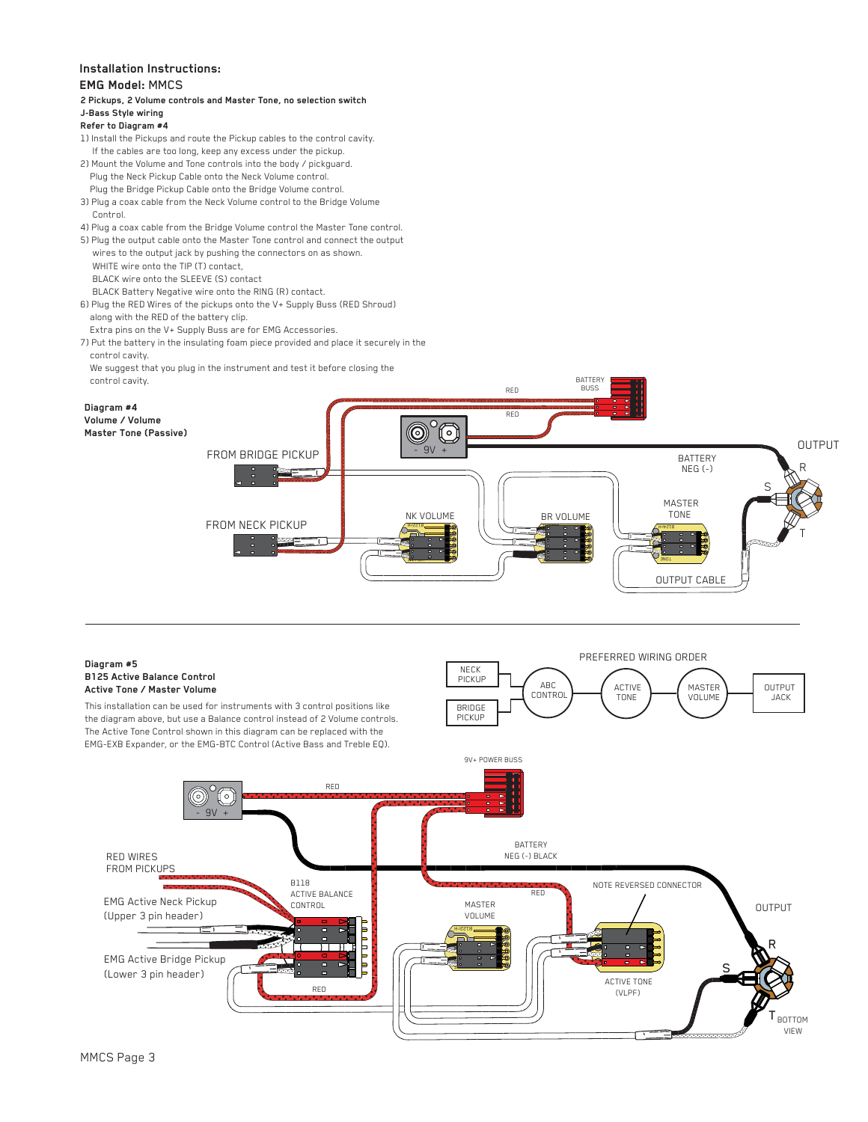# **Installation Instructions:**

### **EMG Model:** MMCS

#### **2 Pickups, 2 Volume controls and Master Tone, no selection switch J-Bass Style wiring**

#### **Refer to Diagram #4**

- 1) Install the Pickups and route the Pickup cables to the control cavity. If the cables are too long, keep any excess under the pickup.
- 2) Mount the Volume and Tone controls into the body / pickguard. Plug the Neck Pickup Cable onto the Neck Volume control. Plug the Bridge Pickup Cable onto the Bridge Volume control.
- 3) Plug a coax cable from the Neck Volume control to the Bridge Volume Control.
- 4) Plug a coax cable from the Bridge Volume control the Master Tone control.
- 5) Plug the output cable onto the Master Tone control and connect the output wires to the output jack by pushing the connectors on as shown.
- WHITE wire onto the TIP (T) contact, BLACK wire onto the SLEEVE (S) contact
- BLACK Battery Negative wire onto the RING (R) contact.
- 6) Plug the RED Wires of the pickups onto the V+ Supply Buss (RED Shroud) along with the RED of the battery clip.
- Extra pins on the V+ Supply Buss are for EMG Accessories.
- 7) Put the battery in the insulating foam piece provided and place it securely in the control cavity.
- We suggest that you plug in the instrument and test it before closing the control cavity.



#### **Diagram #5 B125 Active Balance Control Active Tone / Master Volume**

This installation can be used for instruments with 3 control positions like the diagram above, but use a Balance control instead of 2 Volume controls. The Active Tone Control shown in this diagram can be replaced with the EMG-EXB Expander, or the EMG-BTC Control (Active Bass and Treble EQ).

 $\circ$ 

RED